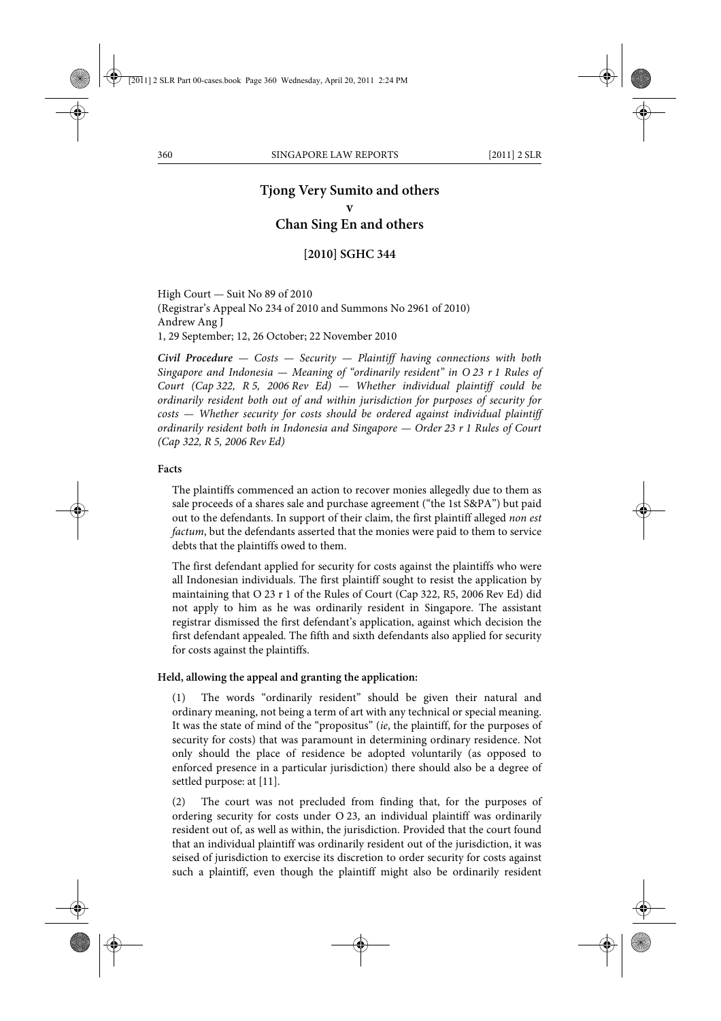# **Tjong Very Sumito and others**

**v Chan Sing En and others**

# **[2010] SGHC 344**

High Court — Suit No 89 of 2010 (Registrar's Appeal No 234 of 2010 and Summons No 2961 of 2010) Andrew Ang J 1, 29 September; 12, 26 October; 22 November 2010

*Civil Procedure — Costs — Security — Plaintiff having connections with both Singapore and Indonesia — Meaning of "ordinarily resident" in O 23 r 1 Rules of Court (Cap 322, R 5, 2006 Rev Ed) — Whether individual plaintiff could be ordinarily resident both out of and within jurisdiction for purposes of security for costs — Whether security for costs should be ordered against individual plaintiff ordinarily resident both in Indonesia and Singapore — Order 23 r 1 Rules of Court (Cap 322, R 5, 2006 Rev Ed)*

#### **Facts**

The plaintiffs commenced an action to recover monies allegedly due to them as sale proceeds of a shares sale and purchase agreement ("the 1st S&PA") but paid out to the defendants. In support of their claim, the first plaintiff alleged *non est factum*, but the defendants asserted that the monies were paid to them to service debts that the plaintiffs owed to them.

The first defendant applied for security for costs against the plaintiffs who were all Indonesian individuals. The first plaintiff sought to resist the application by maintaining that O 23 r 1 of the Rules of Court (Cap 322, R5, 2006 Rev Ed) did not apply to him as he was ordinarily resident in Singapore. The assistant registrar dismissed the first defendant's application, against which decision the first defendant appealed. The fifth and sixth defendants also applied for security for costs against the plaintiffs.

#### **Held, allowing the appeal and granting the application:**

(1) The words "ordinarily resident" should be given their natural and ordinary meaning, not being a term of art with any technical or special meaning. It was the state of mind of the "propositus" (*ie*, the plaintiff, for the purposes of security for costs) that was paramount in determining ordinary residence. Not only should the place of residence be adopted voluntarily (as opposed to enforced presence in a particular jurisdiction) there should also be a degree of settled purpose: at [11].

(2) The court was not precluded from finding that, for the purposes of ordering security for costs under O 23, an individual plaintiff was ordinarily resident out of, as well as within, the jurisdiction. Provided that the court found that an individual plaintiff was ordinarily resident out of the jurisdiction, it was seised of jurisdiction to exercise its discretion to order security for costs against such a plaintiff, even though the plaintiff might also be ordinarily resident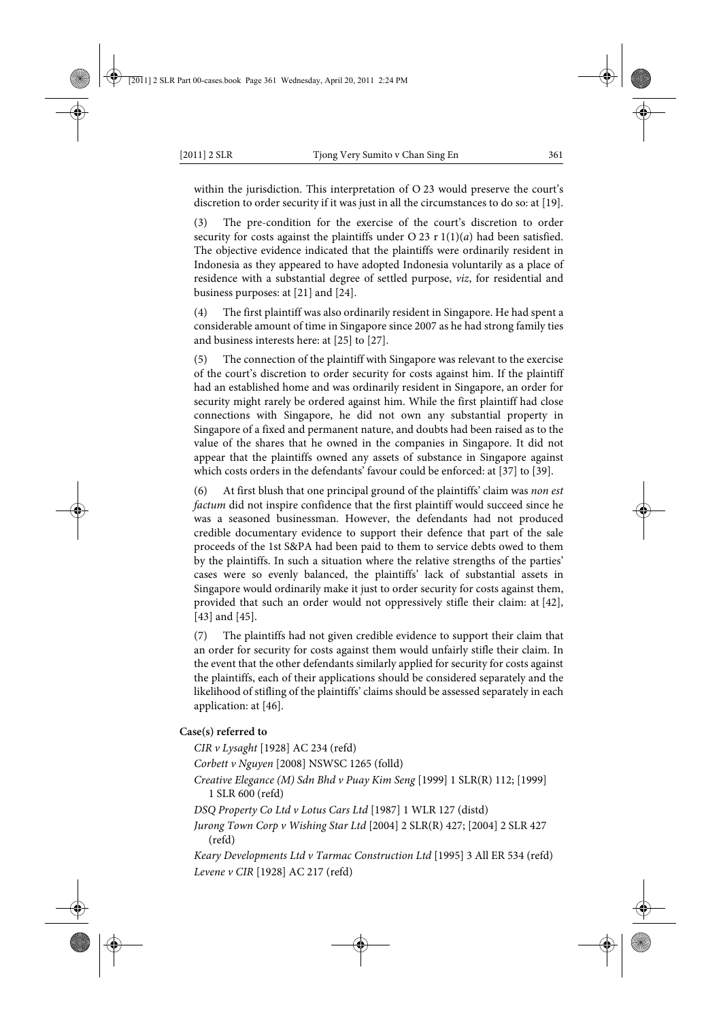within the jurisdiction. This interpretation of O 23 would preserve the court's discretion to order security if it was just in all the circumstances to do so: at [19].

(3) The pre-condition for the exercise of the court's discretion to order security for costs against the plaintiffs under  $O(23)$  r  $1(1)(a)$  had been satisfied. The objective evidence indicated that the plaintiffs were ordinarily resident in Indonesia as they appeared to have adopted Indonesia voluntarily as a place of residence with a substantial degree of settled purpose, *viz*, for residential and business purposes: at [21] and [24].

(4) The first plaintiff was also ordinarily resident in Singapore. He had spent a considerable amount of time in Singapore since 2007 as he had strong family ties and business interests here: at [25] to [27].

(5) The connection of the plaintiff with Singapore was relevant to the exercise of the court's discretion to order security for costs against him. If the plaintiff had an established home and was ordinarily resident in Singapore, an order for security might rarely be ordered against him. While the first plaintiff had close connections with Singapore, he did not own any substantial property in Singapore of a fixed and permanent nature, and doubts had been raised as to the value of the shares that he owned in the companies in Singapore. It did not appear that the plaintiffs owned any assets of substance in Singapore against which costs orders in the defendants' favour could be enforced: at [37] to [39].

(6) At first blush that one principal ground of the plaintiffs' claim was *non est factum* did not inspire confidence that the first plaintiff would succeed since he was a seasoned businessman. However, the defendants had not produced credible documentary evidence to support their defence that part of the sale proceeds of the 1st S&PA had been paid to them to service debts owed to them by the plaintiffs. In such a situation where the relative strengths of the parties' cases were so evenly balanced, the plaintiffs' lack of substantial assets in Singapore would ordinarily make it just to order security for costs against them, provided that such an order would not oppressively stifle their claim: at [42], [43] and [45].

(7) The plaintiffs had not given credible evidence to support their claim that an order for security for costs against them would unfairly stifle their claim. In the event that the other defendants similarly applied for security for costs against the plaintiffs, each of their applications should be considered separately and the likelihood of stifling of the plaintiffs' claims should be assessed separately in each application: at [46].

#### **Case(s) referred to**

*CIR v Lysaght* [1928] AC 234 (refd) *Corbett v Nguyen* [2008] NSWSC 1265 (folld)

*Creative Elegance (M) Sdn Bhd v Puay Kim Seng* [1999] 1 SLR(R) 112; [1999] 1 SLR 600 (refd)

*DSQ Property Co Ltd v Lotus Cars Ltd* [1987] 1 WLR 127 (distd)

*Jurong Town Corp v Wishing Star Ltd* [2004] 2 SLR(R) 427; [2004] 2 SLR 427 (refd)

*Keary Developments Ltd v Tarmac Construction Ltd* [1995] 3 All ER 534 (refd) *Levene v CIR* [1928] AC 217 (refd)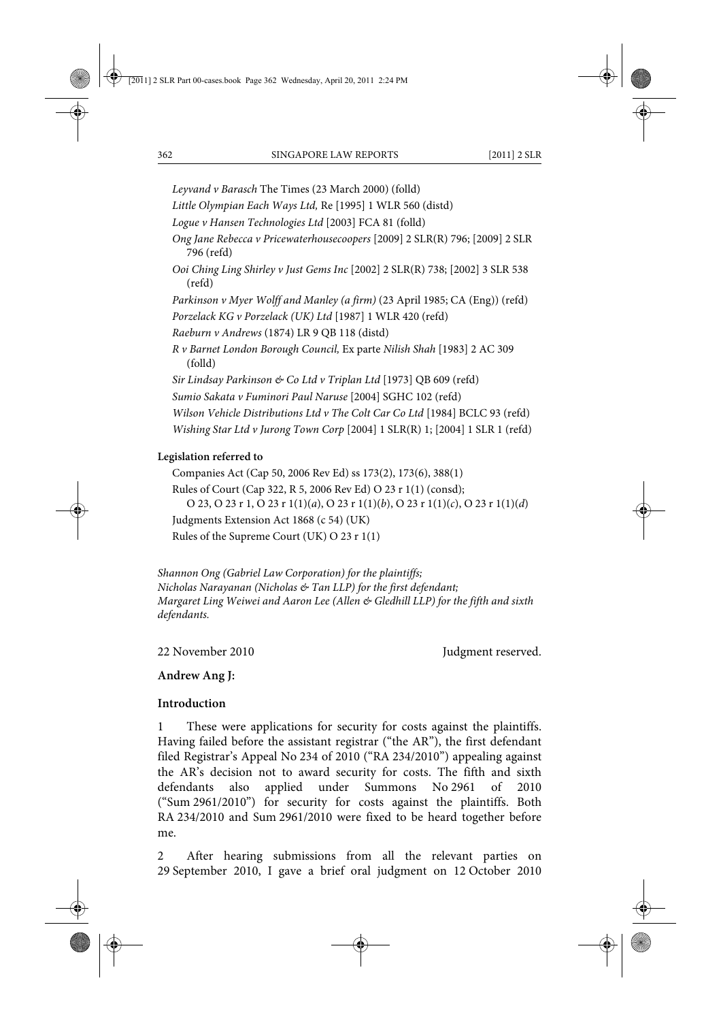*Leyvand v Barasch* The Times (23 March 2000) (folld)

*Little Olympian Each Ways Ltd,* Re [1995] 1 WLR 560 (distd)

*Logue v Hansen Technologies Ltd* [2003] FCA 81 (folld)

*Ong Jane Rebecca v Pricewaterhousecoopers* [2009] 2 SLR(R) 796; [2009] 2 SLR 796 (refd)

*Ooi Ching Ling Shirley v Just Gems Inc* [2002] 2 SLR(R) 738; [2002] 3 SLR 538 (refd)

*Parkinson v Myer Wolff and Manley (a firm)* (23 April 1985; CA (Eng)) (refd)

*Porzelack KG v Porzelack (UK) Ltd* [1987] 1 WLR 420 (refd)

*Raeburn v Andrews* (1874) LR 9 QB 118 (distd)

*R v Barnet London Borough Council,* Ex parte *Nilish Shah* [1983] 2 AC 309 (folld)

*Sir Lindsay Parkinson & Co Ltd v Triplan Ltd* [1973] QB 609 (refd)

*Sumio Sakata v Fuminori Paul Naruse* [2004] SGHC 102 (refd)

*Wilson Vehicle Distributions Ltd v The Colt Car Co Ltd* [1984] BCLC 93 (refd)

*Wishing Star Ltd v Jurong Town Corp* [2004] 1 SLR(R) 1; [2004] 1 SLR 1 (refd)

# **Legislation referred to**

Companies Act (Cap 50, 2006 Rev Ed) ss 173(2), 173(6), 388(1) Rules of Court (Cap 322, R 5, 2006 Rev Ed) O 23 r 1(1) (consd); O 23, O 23 r 1, O 23 r 1(1)(*a*), O 23 r 1(1)(*b*), O 23 r 1(1)(*c*), O 23 r 1(1)(*d*) Judgments Extension Act 1868 (c 54) (UK) Rules of the Supreme Court (UK) O 23 r 1(1)

*Shannon Ong (Gabriel Law Corporation) for the plaintiffs; Nicholas Narayanan (Nicholas & Tan LLP) for the first defendant; Margaret Ling Weiwei and Aaron Lee (Allen & Gledhill LLP) for the fifth and sixth defendants.*

22 November 2010 **Judgment reserved.** 

#### **Andrew Ang J:**

#### **Introduction**

1 These were applications for security for costs against the plaintiffs. Having failed before the assistant registrar ("the AR"), the first defendant filed Registrar's Appeal No 234 of 2010 ("RA 234/2010") appealing against the AR's decision not to award security for costs. The fifth and sixth defendants also applied under Summons No 2961 of 2010 ("Sum 2961/2010") for security for costs against the plaintiffs. Both RA 234/2010 and Sum 2961/2010 were fixed to be heard together before me.

2 After hearing submissions from all the relevant parties on 29 September 2010, I gave a brief oral judgment on 12 October 2010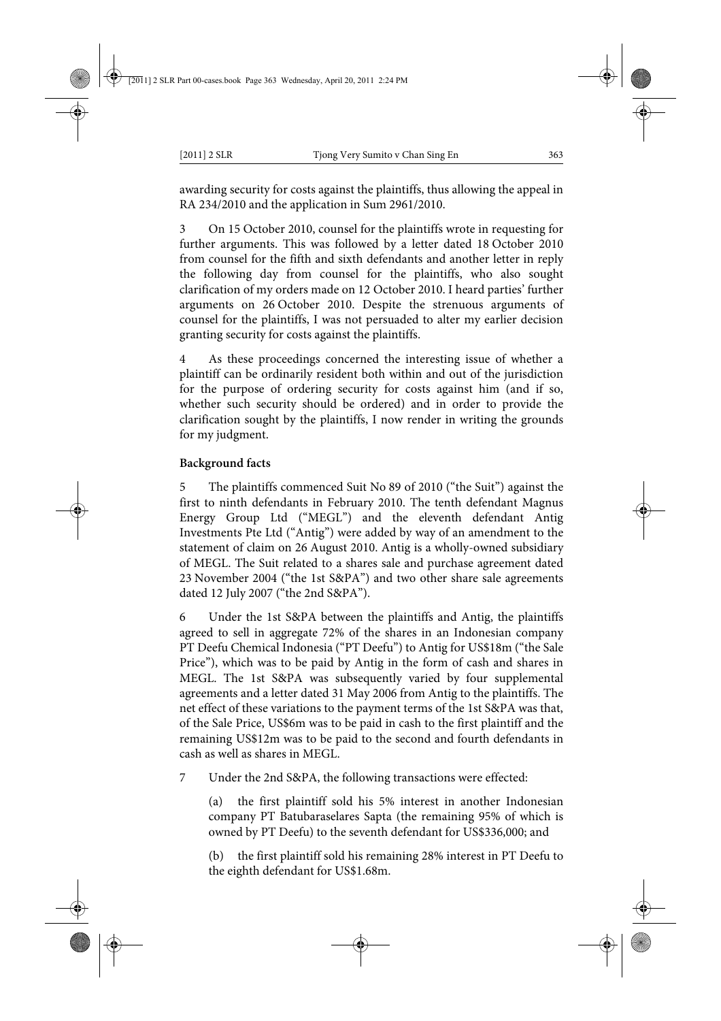awarding security for costs against the plaintiffs, thus allowing the appeal in RA 234/2010 and the application in Sum 2961/2010.

3 On 15 October 2010, counsel for the plaintiffs wrote in requesting for further arguments. This was followed by a letter dated 18 October 2010 from counsel for the fifth and sixth defendants and another letter in reply the following day from counsel for the plaintiffs, who also sought clarification of my orders made on 12 October 2010. I heard parties' further arguments on 26 October 2010. Despite the strenuous arguments of counsel for the plaintiffs, I was not persuaded to alter my earlier decision granting security for costs against the plaintiffs.

As these proceedings concerned the interesting issue of whether a plaintiff can be ordinarily resident both within and out of the jurisdiction for the purpose of ordering security for costs against him (and if so, whether such security should be ordered) and in order to provide the clarification sought by the plaintiffs, I now render in writing the grounds for my judgment.

# **Background facts**

5 The plaintiffs commenced Suit No 89 of 2010 ("the Suit") against the first to ninth defendants in February 2010. The tenth defendant Magnus Energy Group Ltd ("MEGL") and the eleventh defendant Antig Investments Pte Ltd ("Antig") were added by way of an amendment to the statement of claim on 26 August 2010. Antig is a wholly-owned subsidiary of MEGL. The Suit related to a shares sale and purchase agreement dated 23 November 2004 ("the 1st S&PA") and two other share sale agreements dated 12 July 2007 ("the 2nd S&PA").

6 Under the 1st S&PA between the plaintiffs and Antig, the plaintiffs agreed to sell in aggregate 72% of the shares in an Indonesian company PT Deefu Chemical Indonesia ("PT Deefu") to Antig for US\$18m ("the Sale Price"), which was to be paid by Antig in the form of cash and shares in MEGL. The 1st S&PA was subsequently varied by four supplemental agreements and a letter dated 31 May 2006 from Antig to the plaintiffs. The net effect of these variations to the payment terms of the 1st S&PA was that, of the Sale Price, US\$6m was to be paid in cash to the first plaintiff and the remaining US\$12m was to be paid to the second and fourth defendants in cash as well as shares in MEGL.

7 Under the 2nd S&PA, the following transactions were effected:

(a) the first plaintiff sold his 5% interest in another Indonesian company PT Batubaraselares Sapta (the remaining 95% of which is owned by PT Deefu) to the seventh defendant for US\$336,000; and

(b) the first plaintiff sold his remaining 28% interest in PT Deefu to the eighth defendant for US\$1.68m.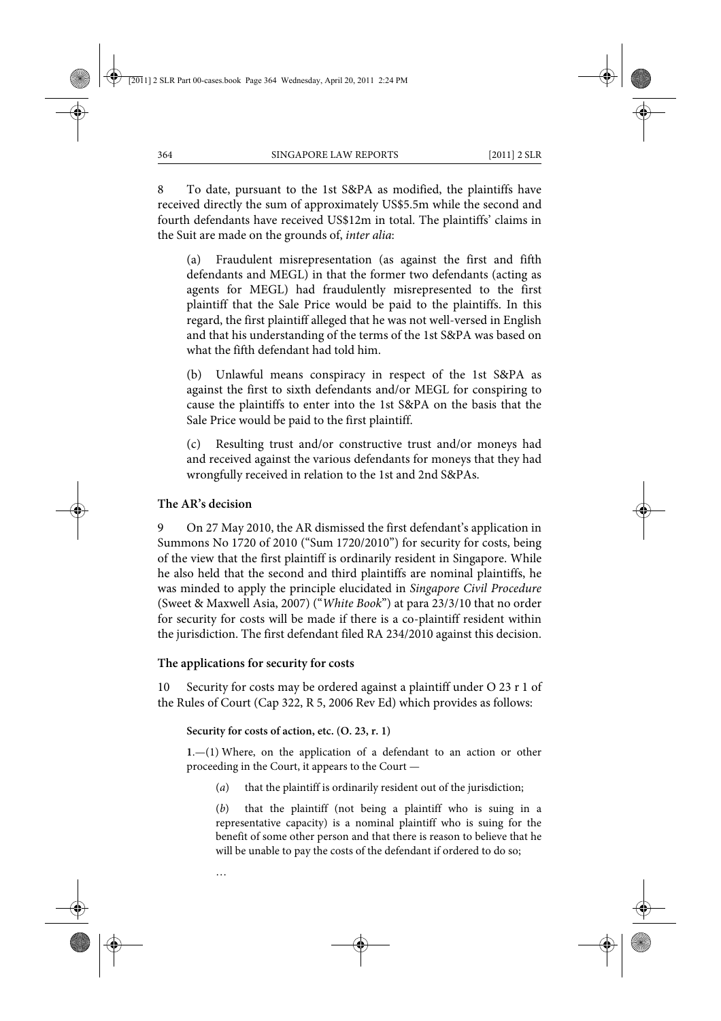8 To date, pursuant to the 1st S&PA as modified, the plaintiffs have received directly the sum of approximately US\$5.5m while the second and fourth defendants have received US\$12m in total. The plaintiffs' claims in the Suit are made on the grounds of, *inter alia*:

(a) Fraudulent misrepresentation (as against the first and fifth defendants and MEGL) in that the former two defendants (acting as agents for MEGL) had fraudulently misrepresented to the first plaintiff that the Sale Price would be paid to the plaintiffs. In this regard, the first plaintiff alleged that he was not well-versed in English and that his understanding of the terms of the 1st S&PA was based on what the fifth defendant had told him.

(b) Unlawful means conspiracy in respect of the 1st S&PA as against the first to sixth defendants and/or MEGL for conspiring to cause the plaintiffs to enter into the 1st S&PA on the basis that the Sale Price would be paid to the first plaintiff.

(c) Resulting trust and/or constructive trust and/or moneys had and received against the various defendants for moneys that they had wrongfully received in relation to the 1st and 2nd S&PAs.

# **The AR's decision**

9 On 27 May 2010, the AR dismissed the first defendant's application in Summons No 1720 of 2010 ("Sum 1720/2010") for security for costs, being of the view that the first plaintiff is ordinarily resident in Singapore. While he also held that the second and third plaintiffs are nominal plaintiffs, he was minded to apply the principle elucidated in *Singapore Civil Procedure* (Sweet & Maxwell Asia, 2007) ("*White Book*") at para 23/3/10 that no order for security for costs will be made if there is a co-plaintiff resident within the jurisdiction. The first defendant filed RA 234/2010 against this decision.

#### **The applications for security for costs**

…

10 Security for costs may be ordered against a plaintiff under O 23 r 1 of the Rules of Court (Cap 322, R 5, 2006 Rev Ed) which provides as follows:

#### **Security for costs of action, etc. (O. 23, r. 1)**

**1**.—(1) Where, on the application of a defendant to an action or other proceeding in the Court, it appears to the Court —

(*a*) that the plaintiff is ordinarily resident out of the jurisdiction;

(*b*) that the plaintiff (not being a plaintiff who is suing in a representative capacity) is a nominal plaintiff who is suing for the benefit of some other person and that there is reason to believe that he will be unable to pay the costs of the defendant if ordered to do so;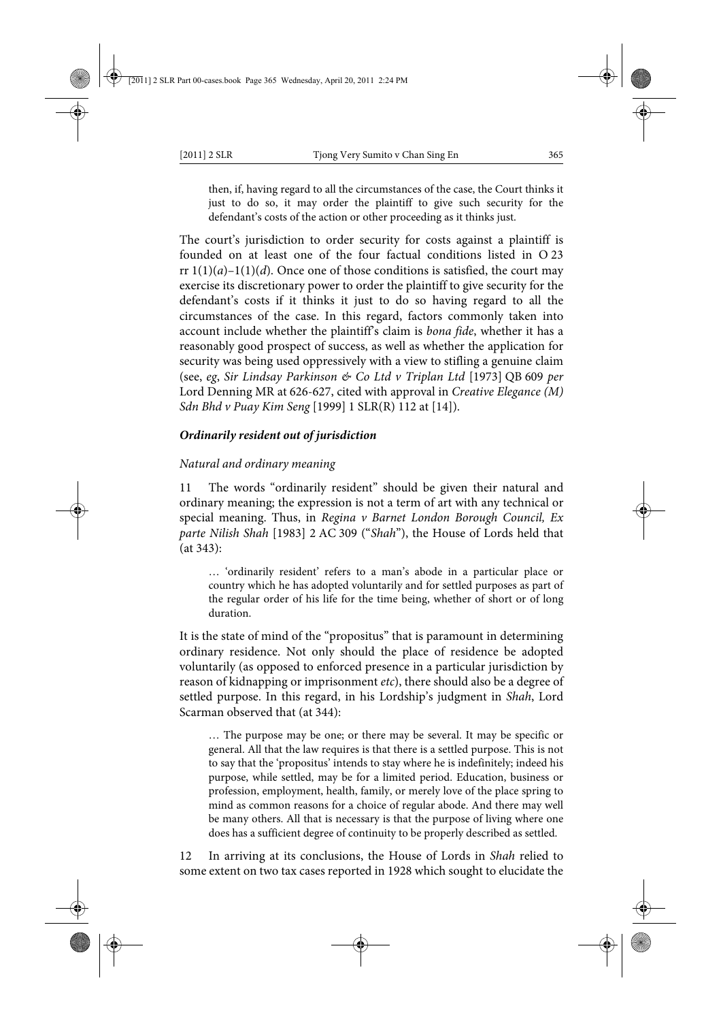then, if, having regard to all the circumstances of the case, the Court thinks it just to do so, it may order the plaintiff to give such security for the defendant's costs of the action or other proceeding as it thinks just.

The court's jurisdiction to order security for costs against a plaintiff is founded on at least one of the four factual conditions listed in O 23 rr  $1(1)(a)-1(1)(d)$ . Once one of those conditions is satisfied, the court may exercise its discretionary power to order the plaintiff to give security for the defendant's costs if it thinks it just to do so having regard to all the circumstances of the case. In this regard, factors commonly taken into account include whether the plaintiff's claim is *bona fide*, whether it has a reasonably good prospect of success, as well as whether the application for security was being used oppressively with a view to stifling a genuine claim (see, *eg*, *Sir Lindsay Parkinson & Co Ltd v Triplan Ltd* [1973] QB 609 *per* Lord Denning MR at 626-627, cited with approval in *Creative Elegance (M) Sdn Bhd v Puay Kim Seng* [1999] 1 SLR(R) 112 at [14]).

# *Ordinarily resident out of jurisdiction*

# *Natural and ordinary meaning*

11 The words "ordinarily resident" should be given their natural and ordinary meaning; the expression is not a term of art with any technical or special meaning. Thus, in *Regina v Barnet London Borough Council, Ex parte Nilish Shah* [1983] 2 AC 309 ("*Shah*"), the House of Lords held that (at 343):

… 'ordinarily resident' refers to a man's abode in a particular place or country which he has adopted voluntarily and for settled purposes as part of the regular order of his life for the time being, whether of short or of long duration.

It is the state of mind of the "propositus" that is paramount in determining ordinary residence. Not only should the place of residence be adopted voluntarily (as opposed to enforced presence in a particular jurisdiction by reason of kidnapping or imprisonment *etc*), there should also be a degree of settled purpose. In this regard, in his Lordship's judgment in *Shah*, Lord Scarman observed that (at 344):

… The purpose may be one; or there may be several. It may be specific or general. All that the law requires is that there is a settled purpose. This is not to say that the 'propositus' intends to stay where he is indefinitely; indeed his purpose, while settled, may be for a limited period. Education, business or profession, employment, health, family, or merely love of the place spring to mind as common reasons for a choice of regular abode. And there may well be many others. All that is necessary is that the purpose of living where one does has a sufficient degree of continuity to be properly described as settled.

12 In arriving at its conclusions, the House of Lords in *Shah* relied to some extent on two tax cases reported in 1928 which sought to elucidate the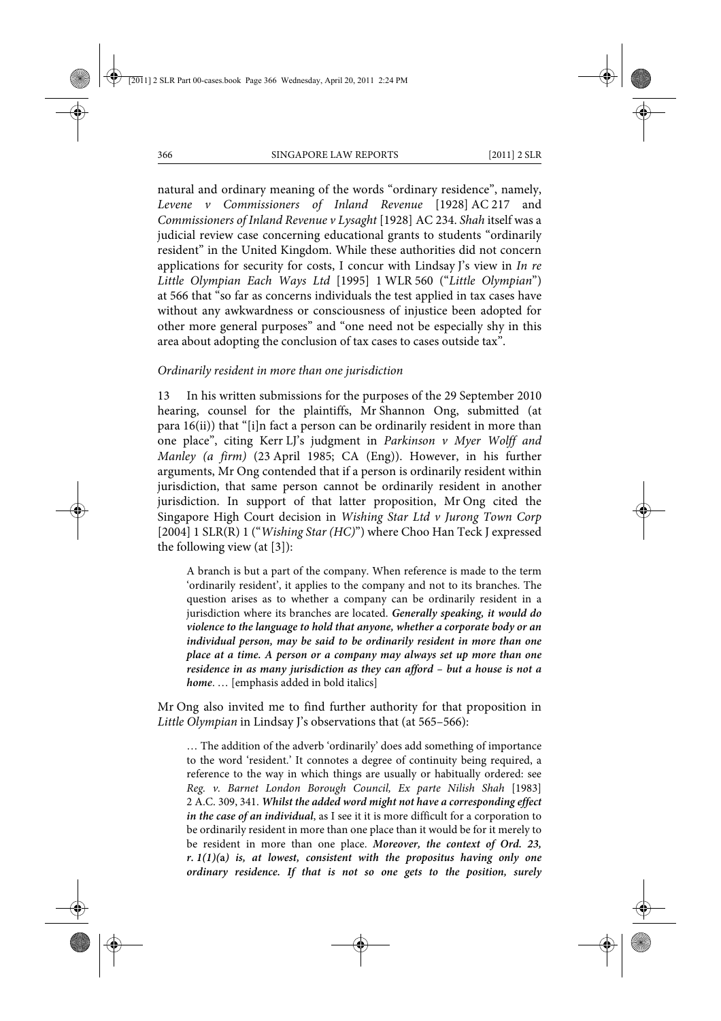natural and ordinary meaning of the words "ordinary residence", namely, *Levene v Commissioners of Inland Revenue* [1928] AC 217 and *Commissioners of Inland Revenue v Lysaght* [1928] AC 234. *Shah* itself was a judicial review case concerning educational grants to students "ordinarily resident" in the United Kingdom. While these authorities did not concern applications for security for costs, I concur with Lindsay J's view in *In re Little Olympian Each Ways Ltd* [1995] 1 WLR 560 ("*Little Olympian*") at 566 that "so far as concerns individuals the test applied in tax cases have without any awkwardness or consciousness of injustice been adopted for other more general purposes" and "one need not be especially shy in this area about adopting the conclusion of tax cases to cases outside tax".

#### *Ordinarily resident in more than one jurisdiction*

13 In his written submissions for the purposes of the 29 September 2010 hearing, counsel for the plaintiffs, Mr Shannon Ong, submitted (at para 16(ii)) that "[i]n fact a person can be ordinarily resident in more than one place", citing Kerr LJ's judgment in *Parkinson v Myer Wolff and Manley (a firm)* (23 April 1985; CA (Eng)). However, in his further arguments, Mr Ong contended that if a person is ordinarily resident within jurisdiction, that same person cannot be ordinarily resident in another jurisdiction. In support of that latter proposition, Mr Ong cited the Singapore High Court decision in *Wishing Star Ltd v Jurong Town Corp* [2004] 1 SLR(R) 1 ("*Wishing Star (HC)*") where Choo Han Teck J expressed the following view (at [3]):

A branch is but a part of the company. When reference is made to the term 'ordinarily resident', it applies to the company and not to its branches. The question arises as to whether a company can be ordinarily resident in a jurisdiction where its branches are located. *Generally speaking, it would do violence to the language to hold that anyone, whether a corporate body or an individual person, may be said to be ordinarily resident in more than one place at a time. A person or a company may always set up more than one residence in as many jurisdiction as they can afford – but a house is not a home*. … [emphasis added in bold italics]

Mr Ong also invited me to find further authority for that proposition in *Little Olympian* in Lindsay J's observations that (at 565–566):

… The addition of the adverb 'ordinarily' does add something of importance to the word 'resident.' It connotes a degree of continuity being required, a reference to the way in which things are usually or habitually ordered: see *Reg. v. Barnet London Borough Council, Ex parte Nilish Shah* [1983] 2 A.C. 309, 341. *Whilst the added word might not have a corresponding effect in the case of an individual*, as I see it it is more difficult for a corporation to be ordinarily resident in more than one place than it would be for it merely to be resident in more than one place. *Moreover, the context of Ord. 23, r. 1(1)(***a***) is, at lowest, consistent with the propositus having only one ordinary residence. If that is not so one gets to the position, surely*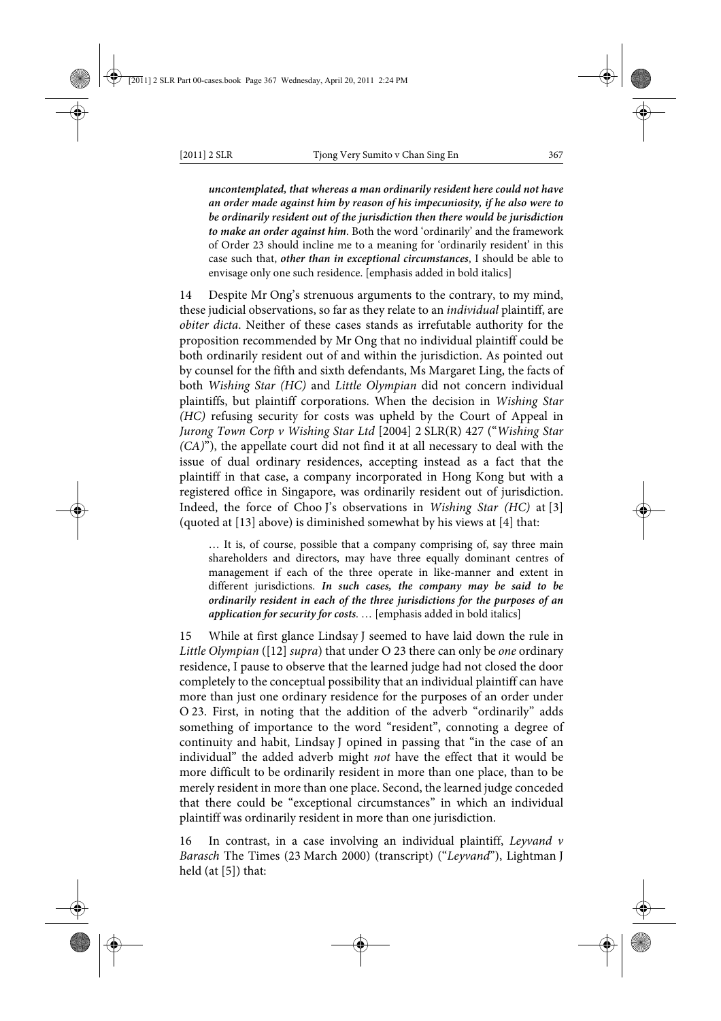*uncontemplated, that whereas a man ordinarily resident here could not have an order made against him by reason of his impecuniosity, if he also were to be ordinarily resident out of the jurisdiction then there would be jurisdiction to make an order against him*. Both the word 'ordinarily' and the framework of Order 23 should incline me to a meaning for 'ordinarily resident' in this case such that, *other than in exceptional circumstances*, I should be able to envisage only one such residence. [emphasis added in bold italics]

14 Despite Mr Ong's strenuous arguments to the contrary, to my mind, these judicial observations, so far as they relate to an *individual* plaintiff, are *obiter dicta*. Neither of these cases stands as irrefutable authority for the proposition recommended by Mr Ong that no individual plaintiff could be both ordinarily resident out of and within the jurisdiction. As pointed out by counsel for the fifth and sixth defendants, Ms Margaret Ling, the facts of both *Wishing Star (HC)* and *Little Olympian* did not concern individual plaintiffs, but plaintiff corporations. When the decision in *Wishing Star (HC)* refusing security for costs was upheld by the Court of Appeal in *Jurong Town Corp v Wishing Star Ltd* [2004] 2 SLR(R) 427 ("*Wishing Star (CA)*"), the appellate court did not find it at all necessary to deal with the issue of dual ordinary residences, accepting instead as a fact that the plaintiff in that case, a company incorporated in Hong Kong but with a registered office in Singapore, was ordinarily resident out of jurisdiction. Indeed, the force of Choo J's observations in *Wishing Star (HC)* at [3] (quoted at [13] above) is diminished somewhat by his views at [4] that:

… It is, of course, possible that a company comprising of, say three main shareholders and directors, may have three equally dominant centres of management if each of the three operate in like-manner and extent in different jurisdictions. *In such cases, the company may be said to be ordinarily resident in each of the three jurisdictions for the purposes of an application for security for costs*. … [emphasis added in bold italics]

15 While at first glance Lindsay J seemed to have laid down the rule in *Little Olympian* ([12] *supra*) that under O 23 there can only be *one* ordinary residence, I pause to observe that the learned judge had not closed the door completely to the conceptual possibility that an individual plaintiff can have more than just one ordinary residence for the purposes of an order under O 23. First, in noting that the addition of the adverb "ordinarily" adds something of importance to the word "resident", connoting a degree of continuity and habit, Lindsay J opined in passing that "in the case of an individual" the added adverb might *not* have the effect that it would be more difficult to be ordinarily resident in more than one place, than to be merely resident in more than one place. Second, the learned judge conceded that there could be "exceptional circumstances" in which an individual plaintiff was ordinarily resident in more than one jurisdiction.

16 In contrast, in a case involving an individual plaintiff, *Leyvand v Barasch* The Times (23 March 2000) (transcript) ("*Leyvand*"), Lightman J held (at [5]) that: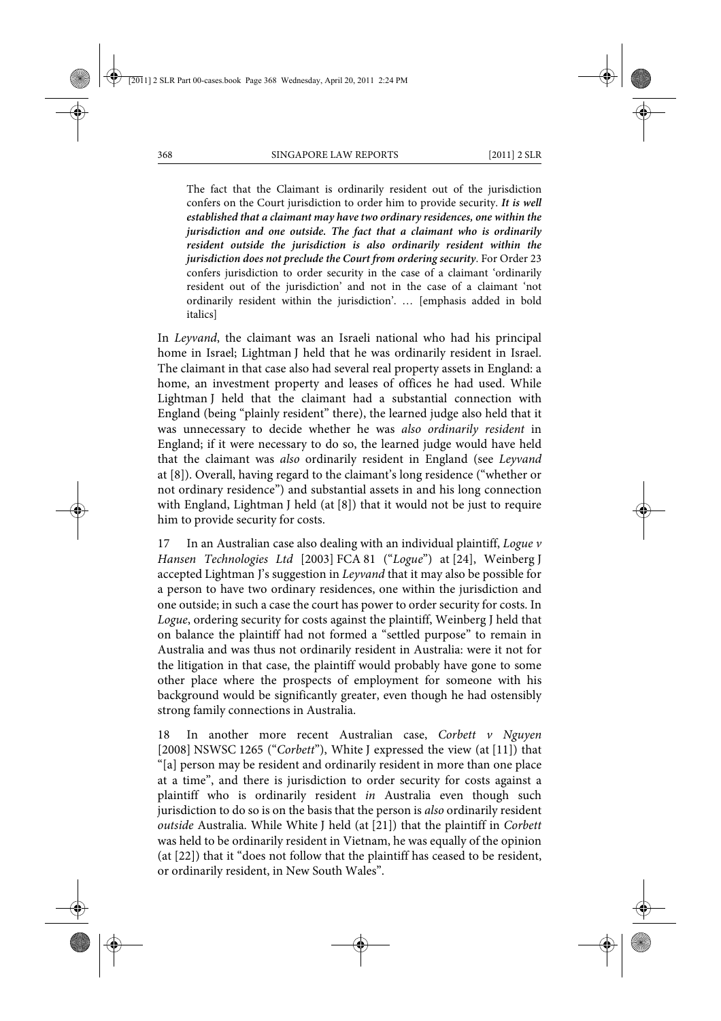The fact that the Claimant is ordinarily resident out of the jurisdiction confers on the Court jurisdiction to order him to provide security. *It is well established that a claimant may have two ordinary residences, one within the jurisdiction and one outside. The fact that a claimant who is ordinarily resident outside the jurisdiction is also ordinarily resident within the jurisdiction does not preclude the Court from ordering security*. For Order 23 confers jurisdiction to order security in the case of a claimant 'ordinarily resident out of the jurisdiction' and not in the case of a claimant 'not ordinarily resident within the jurisdiction'. … [emphasis added in bold italics]

In *Leyvand*, the claimant was an Israeli national who had his principal home in Israel; Lightman J held that he was ordinarily resident in Israel. The claimant in that case also had several real property assets in England: a home, an investment property and leases of offices he had used. While Lightman J held that the claimant had a substantial connection with England (being "plainly resident" there), the learned judge also held that it was unnecessary to decide whether he was *also ordinarily resident* in England; if it were necessary to do so, the learned judge would have held that the claimant was *also* ordinarily resident in England (see *Leyvand* at [8]). Overall, having regard to the claimant's long residence ("whether or not ordinary residence") and substantial assets in and his long connection with England, Lightman J held (at [8]) that it would not be just to require him to provide security for costs.

17 In an Australian case also dealing with an individual plaintiff, *Logue v Hansen Technologies Ltd* [2003] FCA 81 ("*Logue*") at [24], Weinberg J accepted Lightman J's suggestion in *Leyvand* that it may also be possible for a person to have two ordinary residences, one within the jurisdiction and one outside; in such a case the court has power to order security for costs. In *Logue*, ordering security for costs against the plaintiff, Weinberg J held that on balance the plaintiff had not formed a "settled purpose" to remain in Australia and was thus not ordinarily resident in Australia: were it not for the litigation in that case, the plaintiff would probably have gone to some other place where the prospects of employment for someone with his background would be significantly greater, even though he had ostensibly strong family connections in Australia.

18 In another more recent Australian case, *Corbett v Nguyen* [2008] NSWSC 1265 ("*Corbett*"), White J expressed the view (at [11]) that "[a] person may be resident and ordinarily resident in more than one place at a time", and there is jurisdiction to order security for costs against a plaintiff who is ordinarily resident *in* Australia even though such jurisdiction to do so is on the basis that the person is *also* ordinarily resident *outside* Australia. While White J held (at [21]) that the plaintiff in *Corbett* was held to be ordinarily resident in Vietnam, he was equally of the opinion (at [22]) that it "does not follow that the plaintiff has ceased to be resident, or ordinarily resident, in New South Wales".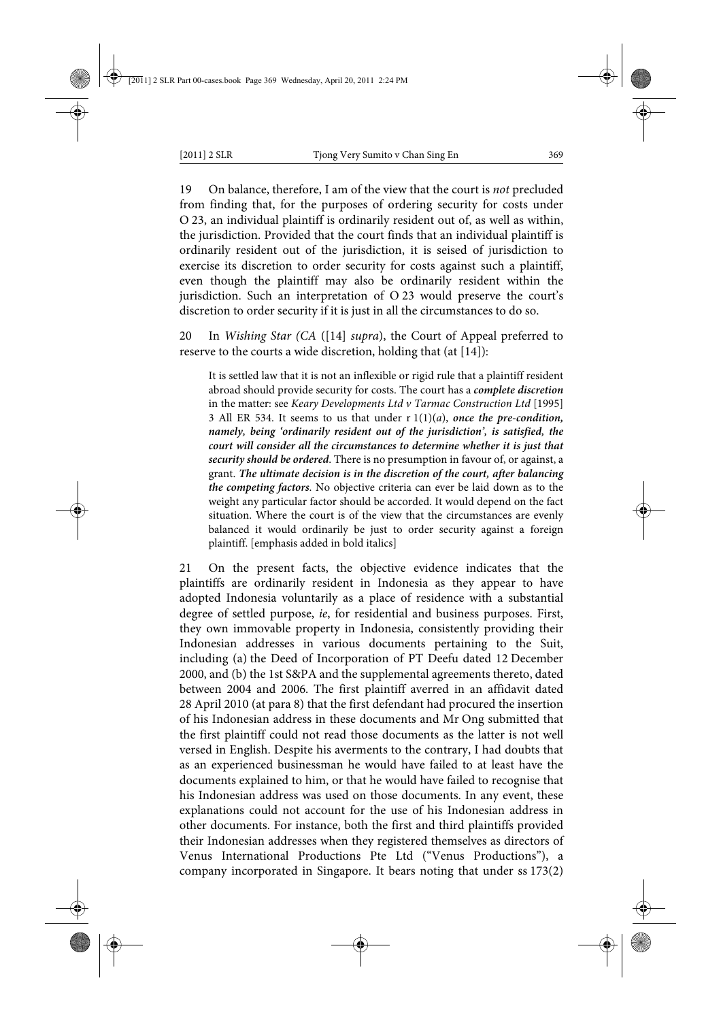19 On balance, therefore, I am of the view that the court is *not* precluded from finding that, for the purposes of ordering security for costs under O 23, an individual plaintiff is ordinarily resident out of, as well as within, the jurisdiction. Provided that the court finds that an individual plaintiff is ordinarily resident out of the jurisdiction, it is seised of jurisdiction to exercise its discretion to order security for costs against such a plaintiff, even though the plaintiff may also be ordinarily resident within the jurisdiction. Such an interpretation of O 23 would preserve the court's discretion to order security if it is just in all the circumstances to do so.

20 In *Wishing Star (CA* ([14] *supra*), the Court of Appeal preferred to reserve to the courts a wide discretion, holding that (at [14]):

It is settled law that it is not an inflexible or rigid rule that a plaintiff resident abroad should provide security for costs. The court has a *complete discretion* in the matter: see *Keary Developments Ltd v Tarmac Construction Ltd* [1995] 3 All ER 534. It seems to us that under r 1(1)(*a*), *once the pre-condition, namely, being 'ordinarily resident out of the jurisdiction', is satisfied, the court will consider all the circumstances to determine whether it is just that security should be ordered*. There is no presumption in favour of, or against, a grant. *The ultimate decision is in the discretion of the court, after balancing the competing factors*. No objective criteria can ever be laid down as to the weight any particular factor should be accorded. It would depend on the fact situation. Where the court is of the view that the circumstances are evenly balanced it would ordinarily be just to order security against a foreign plaintiff. [emphasis added in bold italics]

21 On the present facts, the objective evidence indicates that the plaintiffs are ordinarily resident in Indonesia as they appear to have adopted Indonesia voluntarily as a place of residence with a substantial degree of settled purpose, *ie*, for residential and business purposes. First, they own immovable property in Indonesia, consistently providing their Indonesian addresses in various documents pertaining to the Suit, including (a) the Deed of Incorporation of PT Deefu dated 12 December 2000, and (b) the 1st S&PA and the supplemental agreements thereto, dated between 2004 and 2006. The first plaintiff averred in an affidavit dated 28 April 2010 (at para 8) that the first defendant had procured the insertion of his Indonesian address in these documents and Mr Ong submitted that the first plaintiff could not read those documents as the latter is not well versed in English. Despite his averments to the contrary, I had doubts that as an experienced businessman he would have failed to at least have the documents explained to him, or that he would have failed to recognise that his Indonesian address was used on those documents. In any event, these explanations could not account for the use of his Indonesian address in other documents. For instance, both the first and third plaintiffs provided their Indonesian addresses when they registered themselves as directors of Venus International Productions Pte Ltd ("Venus Productions"), a company incorporated in Singapore. It bears noting that under ss 173(2)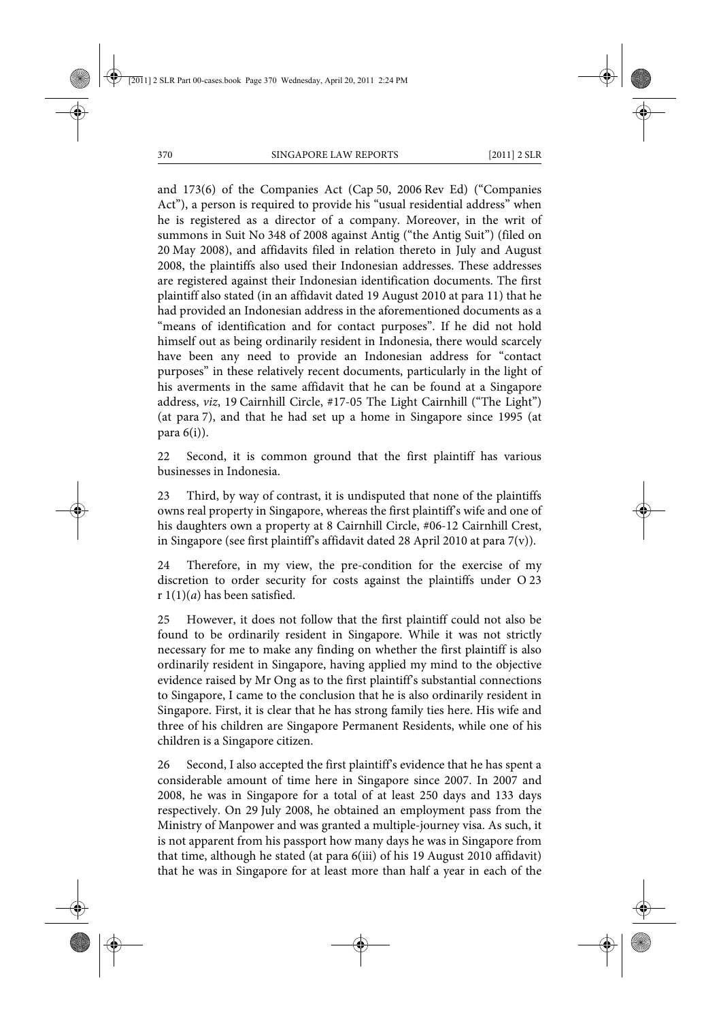and 173(6) of the Companies Act (Cap 50, 2006 Rev Ed) ("Companies Act"), a person is required to provide his "usual residential address" when he is registered as a director of a company. Moreover, in the writ of summons in Suit No 348 of 2008 against Antig ("the Antig Suit") (filed on 20 May 2008), and affidavits filed in relation thereto in July and August 2008, the plaintiffs also used their Indonesian addresses. These addresses are registered against their Indonesian identification documents. The first plaintiff also stated (in an affidavit dated 19 August 2010 at para 11) that he had provided an Indonesian address in the aforementioned documents as a "means of identification and for contact purposes". If he did not hold himself out as being ordinarily resident in Indonesia, there would scarcely have been any need to provide an Indonesian address for "contact purposes" in these relatively recent documents, particularly in the light of his averments in the same affidavit that he can be found at a Singapore address, *viz*, 19 Cairnhill Circle, #17-05 The Light Cairnhill ("The Light") (at para 7), and that he had set up a home in Singapore since 1995 (at para 6(i)).

22 Second, it is common ground that the first plaintiff has various businesses in Indonesia.

23 Third, by way of contrast, it is undisputed that none of the plaintiffs owns real property in Singapore, whereas the first plaintiff's wife and one of his daughters own a property at 8 Cairnhill Circle, #06-12 Cairnhill Crest, in Singapore (see first plaintiff's affidavit dated 28 April 2010 at para  $7(v)$ ).

24 Therefore, in my view, the pre-condition for the exercise of my discretion to order security for costs against the plaintiffs under O 23 r 1(1)(*a*) has been satisfied.

25 However, it does not follow that the first plaintiff could not also be found to be ordinarily resident in Singapore. While it was not strictly necessary for me to make any finding on whether the first plaintiff is also ordinarily resident in Singapore, having applied my mind to the objective evidence raised by Mr Ong as to the first plaintiff's substantial connections to Singapore, I came to the conclusion that he is also ordinarily resident in Singapore. First, it is clear that he has strong family ties here. His wife and three of his children are Singapore Permanent Residents, while one of his children is a Singapore citizen.

26 Second, I also accepted the first plaintiff's evidence that he has spent a considerable amount of time here in Singapore since 2007. In 2007 and 2008, he was in Singapore for a total of at least 250 days and 133 days respectively. On 29 July 2008, he obtained an employment pass from the Ministry of Manpower and was granted a multiple-journey visa. As such, it is not apparent from his passport how many days he was in Singapore from that time, although he stated (at para 6(iii) of his 19 August 2010 affidavit) that he was in Singapore for at least more than half a year in each of the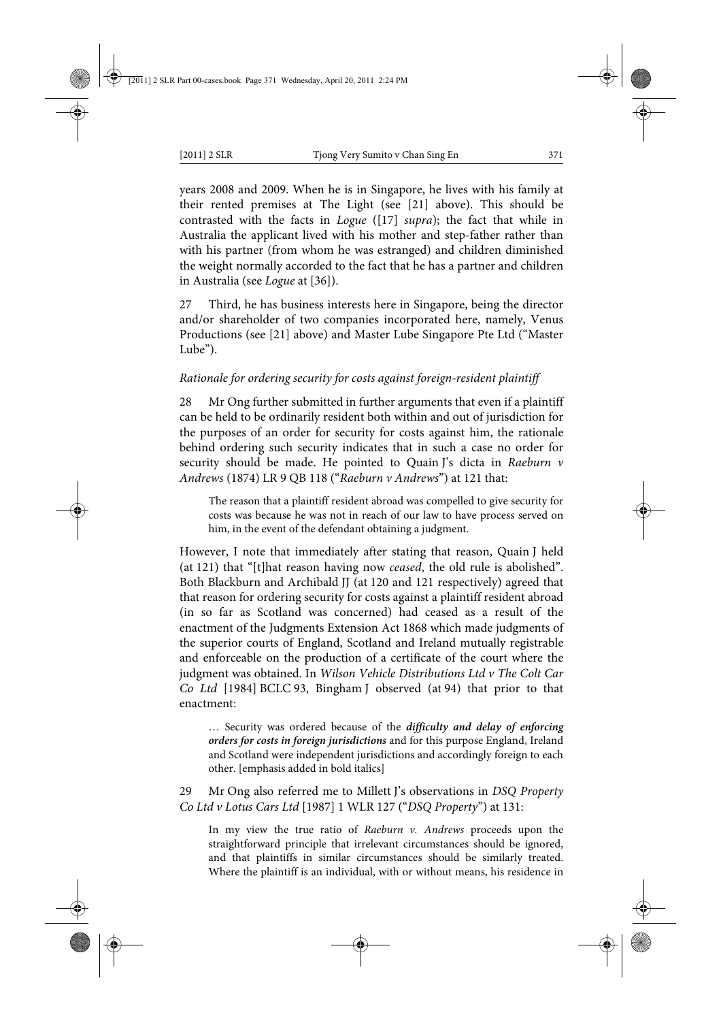years 2008 and 2009. When he is in Singapore, he lives with his family at their rented premises at The Light (see [21] above). This should be contrasted with the facts in *Logue* ([17] *supra*); the fact that while in Australia the applicant lived with his mother and step-father rather than with his partner (from whom he was estranged) and children diminished the weight normally accorded to the fact that he has a partner and children in Australia (see *Logue* at [36]).

27 Third, he has business interests here in Singapore, being the director and/or shareholder of two companies incorporated here, namely, Venus Productions (see [21] above) and Master Lube Singapore Pte Ltd ("Master Lube").

#### *Rationale for ordering security for costs against foreign-resident plaintiff*

28 Mr Ong further submitted in further arguments that even if a plaintiff can be held to be ordinarily resident both within and out of jurisdiction for the purposes of an order for security for costs against him, the rationale behind ordering such security indicates that in such a case no order for security should be made. He pointed to Quain J's dicta in *Raeburn v Andrews* (1874) LR 9 QB 118 ("*Raeburn v Andrews*") at 121 that:

The reason that a plaintiff resident abroad was compelled to give security for costs was because he was not in reach of our law to have process served on him, in the event of the defendant obtaining a judgment.

However, I note that immediately after stating that reason, Quain J held (at 121) that "[t]hat reason having now *ceased*, the old rule is abolished". Both Blackburn and Archibald JJ (at 120 and 121 respectively) agreed that that reason for ordering security for costs against a plaintiff resident abroad (in so far as Scotland was concerned) had ceased as a result of the enactment of the Judgments Extension Act 1868 which made judgments of the superior courts of England, Scotland and Ireland mutually registrable and enforceable on the production of a certificate of the court where the judgment was obtained. In *Wilson Vehicle Distributions Ltd v The Colt Car Co Ltd* [1984] BCLC 93, Bingham J observed (at 94) that prior to that enactment:

… Security was ordered because of the *difficulty and delay of enforcing orders for costs in foreign jurisdictions* and for this purpose England, Ireland and Scotland were independent jurisdictions and accordingly foreign to each other. [emphasis added in bold italics]

29 Mr Ong also referred me to Millett J's observations in *DSQ Property Co Ltd v Lotus Cars Ltd* [1987] 1 WLR 127 ("*DSQ Property*") at 131:

In my view the true ratio of *Raeburn v. Andrews* proceeds upon the straightforward principle that irrelevant circumstances should be ignored, and that plaintiffs in similar circumstances should be similarly treated. Where the plaintiff is an individual, with or without means, his residence in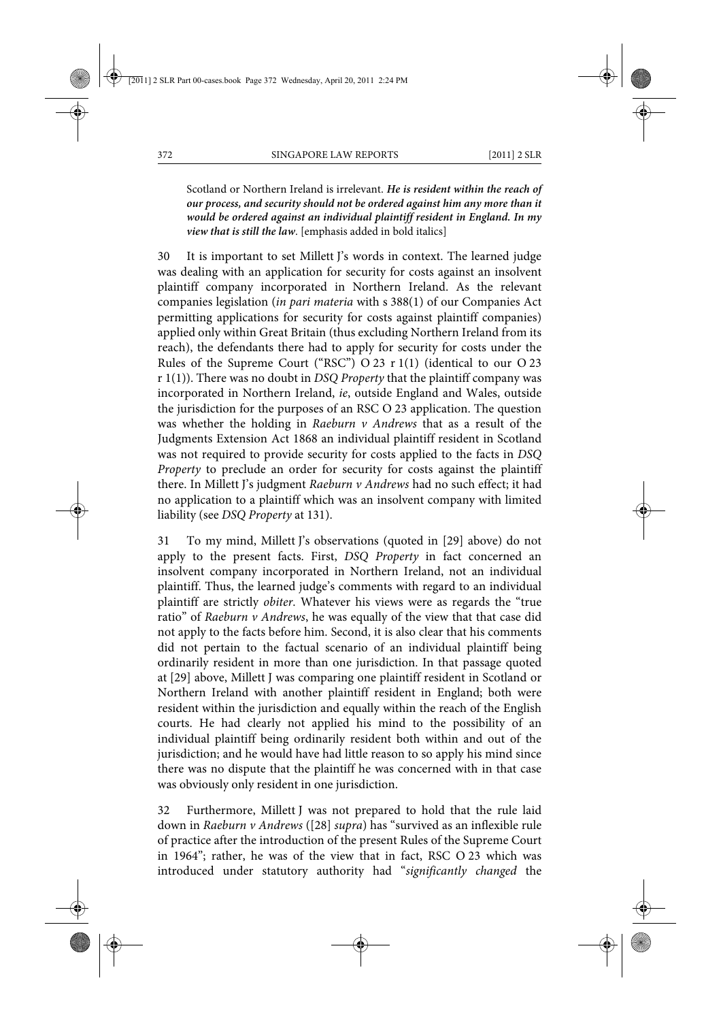Scotland or Northern Ireland is irrelevant. *He is resident within the reach of our process, and security should not be ordered against him any more than it would be ordered against an individual plaintiff resident in England. In my view that is still the law*. [emphasis added in bold italics]

30 It is important to set Millett J's words in context. The learned judge was dealing with an application for security for costs against an insolvent plaintiff company incorporated in Northern Ireland. As the relevant companies legislation (*in pari materia* with s 388(1) of our Companies Act permitting applications for security for costs against plaintiff companies) applied only within Great Britain (thus excluding Northern Ireland from its reach), the defendants there had to apply for security for costs under the Rules of the Supreme Court ("RSC") O 23 r 1(1) (identical to our O 23 r 1(1)). There was no doubt in *DSQ Property* that the plaintiff company was incorporated in Northern Ireland, *ie*, outside England and Wales, outside the jurisdiction for the purposes of an RSC O 23 application. The question was whether the holding in *Raeburn v Andrews* that as a result of the Judgments Extension Act 1868 an individual plaintiff resident in Scotland was not required to provide security for costs applied to the facts in *DSQ Property* to preclude an order for security for costs against the plaintiff there. In Millett J's judgment *Raeburn v Andrews* had no such effect; it had no application to a plaintiff which was an insolvent company with limited liability (see *DSQ Property* at 131).

31 To my mind, Millett J's observations (quoted in [29] above) do not apply to the present facts. First, *DSQ Property* in fact concerned an insolvent company incorporated in Northern Ireland, not an individual plaintiff. Thus, the learned judge's comments with regard to an individual plaintiff are strictly *obiter*. Whatever his views were as regards the "true ratio" of *Raeburn v Andrews*, he was equally of the view that that case did not apply to the facts before him. Second, it is also clear that his comments did not pertain to the factual scenario of an individual plaintiff being ordinarily resident in more than one jurisdiction. In that passage quoted at [29] above, Millett J was comparing one plaintiff resident in Scotland or Northern Ireland with another plaintiff resident in England; both were resident within the jurisdiction and equally within the reach of the English courts. He had clearly not applied his mind to the possibility of an individual plaintiff being ordinarily resident both within and out of the jurisdiction; and he would have had little reason to so apply his mind since there was no dispute that the plaintiff he was concerned with in that case was obviously only resident in one jurisdiction.

32 Furthermore, Millett J was not prepared to hold that the rule laid down in *Raeburn v Andrews* ([28] *supra*) has "survived as an inflexible rule of practice after the introduction of the present Rules of the Supreme Court in 1964"; rather, he was of the view that in fact, RSC O 23 which was introduced under statutory authority had "*significantly changed* the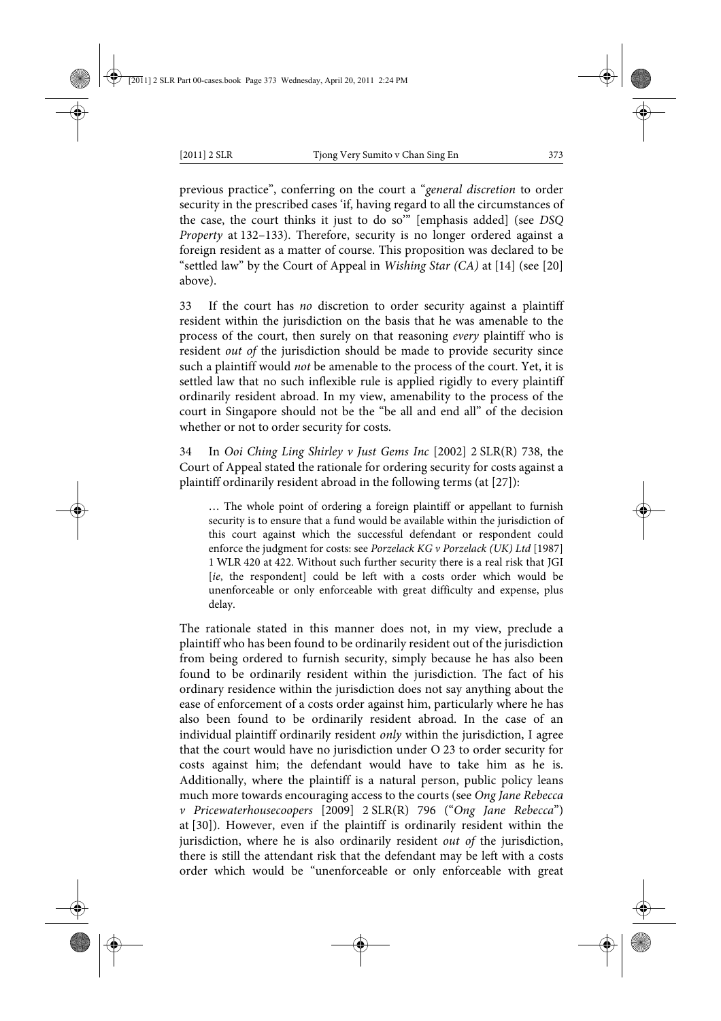previous practice", conferring on the court a "*general discretion* to order security in the prescribed cases 'if, having regard to all the circumstances of the case, the court thinks it just to do so'" [emphasis added] (see *DSQ Property* at 132–133). Therefore, security is no longer ordered against a foreign resident as a matter of course. This proposition was declared to be "settled law" by the Court of Appeal in *Wishing Star (CA)* at [14] (see [20] above).

33 If the court has *no* discretion to order security against a plaintiff resident within the jurisdiction on the basis that he was amenable to the process of the court, then surely on that reasoning *every* plaintiff who is resident *out of* the jurisdiction should be made to provide security since such a plaintiff would *not* be amenable to the process of the court. Yet, it is settled law that no such inflexible rule is applied rigidly to every plaintiff ordinarily resident abroad. In my view, amenability to the process of the court in Singapore should not be the "be all and end all" of the decision whether or not to order security for costs.

34 In *Ooi Ching Ling Shirley v Just Gems Inc* [2002] 2 SLR(R) 738, the Court of Appeal stated the rationale for ordering security for costs against a plaintiff ordinarily resident abroad in the following terms (at [27]):

… The whole point of ordering a foreign plaintiff or appellant to furnish security is to ensure that a fund would be available within the jurisdiction of this court against which the successful defendant or respondent could enforce the judgment for costs: see *Porzelack KG v Porzelack (UK) Ltd* [1987] 1 WLR 420 at 422. Without such further security there is a real risk that JGI [*ie*, the respondent] could be left with a costs order which would be unenforceable or only enforceable with great difficulty and expense, plus delay.

The rationale stated in this manner does not, in my view, preclude a plaintiff who has been found to be ordinarily resident out of the jurisdiction from being ordered to furnish security, simply because he has also been found to be ordinarily resident within the jurisdiction. The fact of his ordinary residence within the jurisdiction does not say anything about the ease of enforcement of a costs order against him, particularly where he has also been found to be ordinarily resident abroad. In the case of an individual plaintiff ordinarily resident *only* within the jurisdiction, I agree that the court would have no jurisdiction under O 23 to order security for costs against him; the defendant would have to take him as he is. Additionally, where the plaintiff is a natural person, public policy leans much more towards encouraging access to the courts (see *Ong Jane Rebecca v Pricewaterhousecoopers* [2009] 2 SLR(R) 796 ("*Ong Jane Rebecca*") at [30]). However, even if the plaintiff is ordinarily resident within the jurisdiction, where he is also ordinarily resident *out of* the jurisdiction, there is still the attendant risk that the defendant may be left with a costs order which would be "unenforceable or only enforceable with great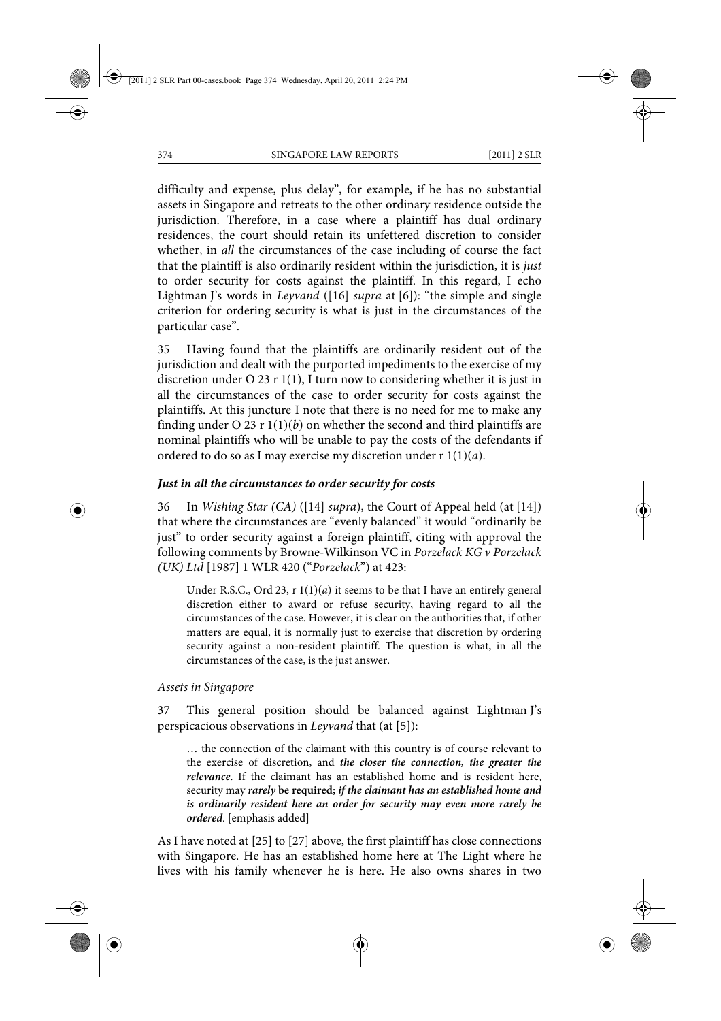difficulty and expense, plus delay", for example, if he has no substantial assets in Singapore and retreats to the other ordinary residence outside the jurisdiction. Therefore, in a case where a plaintiff has dual ordinary residences, the court should retain its unfettered discretion to consider whether, in *all* the circumstances of the case including of course the fact that the plaintiff is also ordinarily resident within the jurisdiction, it is *just* to order security for costs against the plaintiff. In this regard, I echo Lightman J's words in *Leyvand* ([16] *supra* at [6]): "the simple and single criterion for ordering security is what is just in the circumstances of the particular case".

35 Having found that the plaintiffs are ordinarily resident out of the jurisdiction and dealt with the purported impediments to the exercise of my discretion under O 23 r 1(1), I turn now to considering whether it is just in all the circumstances of the case to order security for costs against the plaintiffs. At this juncture I note that there is no need for me to make any finding under O 23 r  $1(1)(b)$  on whether the second and third plaintiffs are nominal plaintiffs who will be unable to pay the costs of the defendants if ordered to do so as I may exercise my discretion under r 1(1)(*a*).

# *Just in all the circumstances to order security for costs*

36 In *Wishing Star (CA)* ([14] *supra*), the Court of Appeal held (at [14]) that where the circumstances are "evenly balanced" it would "ordinarily be just" to order security against a foreign plaintiff, citing with approval the following comments by Browne-Wilkinson VC in *Porzelack KG v Porzelack (UK) Ltd* [1987] 1 WLR 420 ("*Porzelack*") at 423:

Under R.S.C., Ord 23, r 1(1)(*a*) it seems to be that I have an entirely general discretion either to award or refuse security, having regard to all the circumstances of the case. However, it is clear on the authorities that, if other matters are equal, it is normally just to exercise that discretion by ordering security against a non-resident plaintiff. The question is what, in all the circumstances of the case, is the just answer.

# *Assets in Singapore*

37 This general position should be balanced against Lightman J's perspicacious observations in *Leyvand* that (at [5]):

… the connection of the claimant with this country is of course relevant to the exercise of discretion, and *the closer the connection, the greater the relevance*. If the claimant has an established home and is resident here, security may *rarely* **be required;** *if the claimant has an established home and is ordinarily resident here an order for security may even more rarely be ordered*. [emphasis added]

As I have noted at [25] to [27] above, the first plaintiff has close connections with Singapore. He has an established home here at The Light where he lives with his family whenever he is here. He also owns shares in two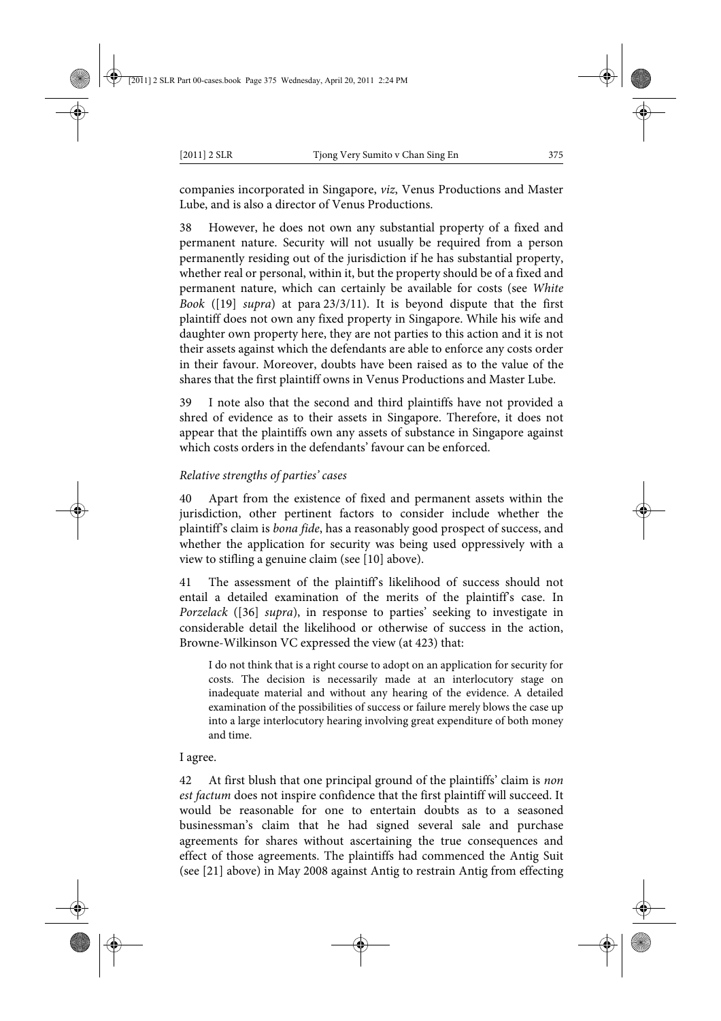companies incorporated in Singapore, *viz*, Venus Productions and Master Lube, and is also a director of Venus Productions.

38 However, he does not own any substantial property of a fixed and permanent nature. Security will not usually be required from a person permanently residing out of the jurisdiction if he has substantial property, whether real or personal, within it, but the property should be of a fixed and permanent nature, which can certainly be available for costs (see *White Book* ([19] *supra*) at para 23/3/11). It is beyond dispute that the first plaintiff does not own any fixed property in Singapore. While his wife and daughter own property here, they are not parties to this action and it is not their assets against which the defendants are able to enforce any costs order in their favour. Moreover, doubts have been raised as to the value of the shares that the first plaintiff owns in Venus Productions and Master Lube.

39 I note also that the second and third plaintiffs have not provided a shred of evidence as to their assets in Singapore. Therefore, it does not appear that the plaintiffs own any assets of substance in Singapore against which costs orders in the defendants' favour can be enforced.

# *Relative strengths of parties' cases*

40 Apart from the existence of fixed and permanent assets within the jurisdiction, other pertinent factors to consider include whether the plaintiff's claim is *bona fide*, has a reasonably good prospect of success, and whether the application for security was being used oppressively with a view to stifling a genuine claim (see [10] above).

41 The assessment of the plaintiff's likelihood of success should not entail a detailed examination of the merits of the plaintiff's case. In *Porzelack* ([36] *supra*), in response to parties' seeking to investigate in considerable detail the likelihood or otherwise of success in the action, Browne-Wilkinson VC expressed the view (at 423) that:

I do not think that is a right course to adopt on an application for security for costs. The decision is necessarily made at an interlocutory stage on inadequate material and without any hearing of the evidence. A detailed examination of the possibilities of success or failure merely blows the case up into a large interlocutory hearing involving great expenditure of both money and time.

I agree.

42 At first blush that one principal ground of the plaintiffs' claim is *non est factum* does not inspire confidence that the first plaintiff will succeed. It would be reasonable for one to entertain doubts as to a seasoned businessman's claim that he had signed several sale and purchase agreements for shares without ascertaining the true consequences and effect of those agreements. The plaintiffs had commenced the Antig Suit (see [21] above) in May 2008 against Antig to restrain Antig from effecting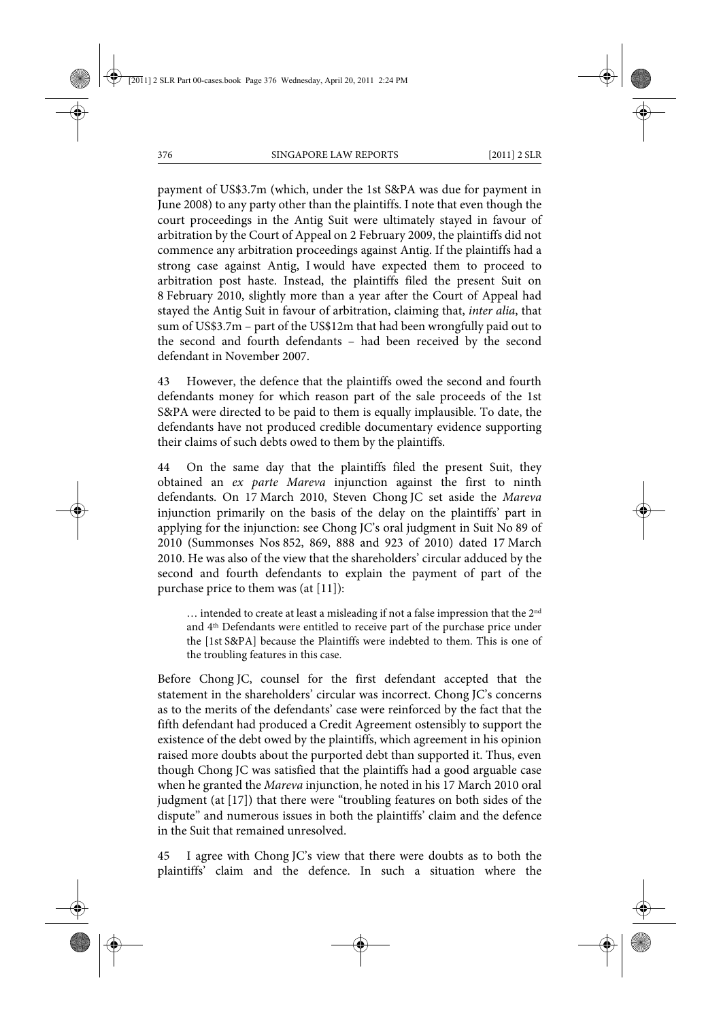payment of US\$3.7m (which, under the 1st S&PA was due for payment in June 2008) to any party other than the plaintiffs. I note that even though the court proceedings in the Antig Suit were ultimately stayed in favour of arbitration by the Court of Appeal on 2 February 2009, the plaintiffs did not commence any arbitration proceedings against Antig. If the plaintiffs had a strong case against Antig, I would have expected them to proceed to arbitration post haste. Instead, the plaintiffs filed the present Suit on 8 February 2010, slightly more than a year after the Court of Appeal had stayed the Antig Suit in favour of arbitration, claiming that, *inter alia*, that sum of US\$3.7m – part of the US\$12m that had been wrongfully paid out to the second and fourth defendants – had been received by the second defendant in November 2007.

43 However, the defence that the plaintiffs owed the second and fourth defendants money for which reason part of the sale proceeds of the 1st S&PA were directed to be paid to them is equally implausible. To date, the defendants have not produced credible documentary evidence supporting their claims of such debts owed to them by the plaintiffs.

44 On the same day that the plaintiffs filed the present Suit, they obtained an *ex parte Mareva* injunction against the first to ninth defendants. On 17 March 2010, Steven Chong JC set aside the *Mareva* injunction primarily on the basis of the delay on the plaintiffs' part in applying for the injunction: see Chong JC's oral judgment in Suit No 89 of 2010 (Summonses Nos 852, 869, 888 and 923 of 2010) dated 17 March 2010. He was also of the view that the shareholders' circular adduced by the second and fourth defendants to explain the payment of part of the purchase price to them was (at [11]):

... intended to create at least a misleading if not a false impression that the 2<sup>nd</sup> and 4th Defendants were entitled to receive part of the purchase price under the [1st S&PA] because the Plaintiffs were indebted to them. This is one of the troubling features in this case.

Before Chong JC, counsel for the first defendant accepted that the statement in the shareholders' circular was incorrect. Chong JC's concerns as to the merits of the defendants' case were reinforced by the fact that the fifth defendant had produced a Credit Agreement ostensibly to support the existence of the debt owed by the plaintiffs, which agreement in his opinion raised more doubts about the purported debt than supported it. Thus, even though Chong JC was satisfied that the plaintiffs had a good arguable case when he granted the *Mareva* injunction, he noted in his 17 March 2010 oral judgment (at [17]) that there were "troubling features on both sides of the dispute" and numerous issues in both the plaintiffs' claim and the defence in the Suit that remained unresolved.

45 I agree with Chong JC's view that there were doubts as to both the plaintiffs' claim and the defence. In such a situation where the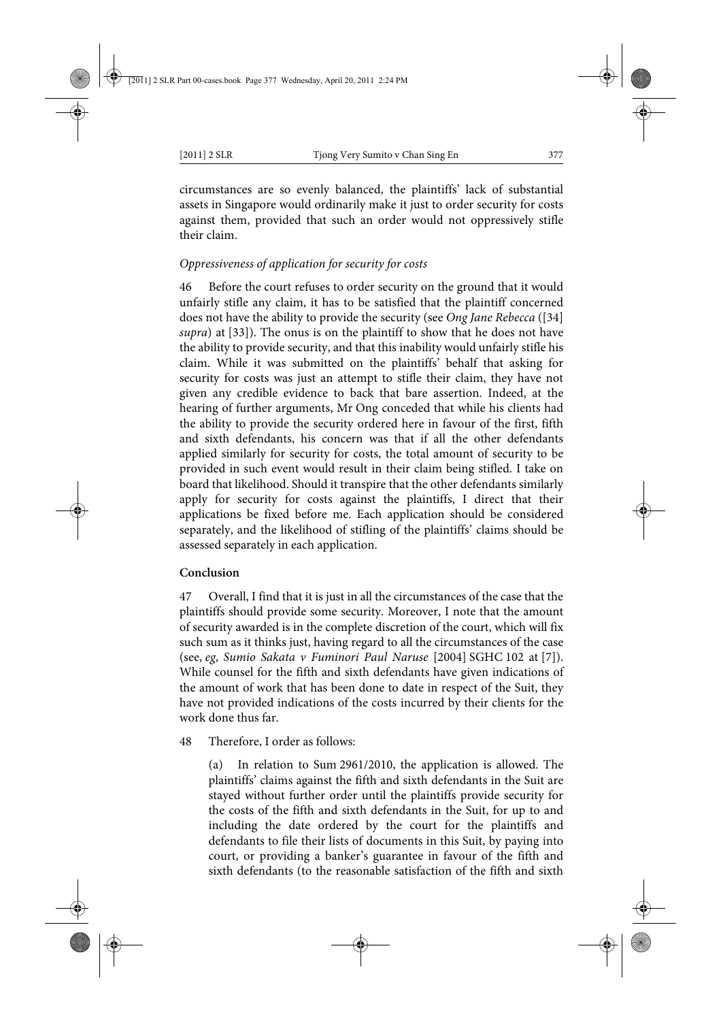circumstances are so evenly balanced, the plaintiffs' lack of substantial assets in Singapore would ordinarily make it just to order security for costs against them, provided that such an order would not oppressively stifle their claim.

# *Oppressiveness of application for security for costs*

46 Before the court refuses to order security on the ground that it would unfairly stifle any claim, it has to be satisfied that the plaintiff concerned does not have the ability to provide the security (see *Ong Jane Rebecca* ([34] *supra*) at [33]). The onus is on the plaintiff to show that he does not have the ability to provide security, and that this inability would unfairly stifle his claim. While it was submitted on the plaintiffs' behalf that asking for security for costs was just an attempt to stifle their claim, they have not given any credible evidence to back that bare assertion. Indeed, at the hearing of further arguments, Mr Ong conceded that while his clients had the ability to provide the security ordered here in favour of the first, fifth and sixth defendants, his concern was that if all the other defendants applied similarly for security for costs, the total amount of security to be provided in such event would result in their claim being stifled. I take on board that likelihood. Should it transpire that the other defendants similarly apply for security for costs against the plaintiffs, I direct that their applications be fixed before me. Each application should be considered separately, and the likelihood of stifling of the plaintiffs' claims should be assessed separately in each application.

#### **Conclusion**

47 Overall, I find that it is just in all the circumstances of the case that the plaintiffs should provide some security. Moreover, I note that the amount of security awarded is in the complete discretion of the court, which will fix such sum as it thinks just, having regard to all the circumstances of the case (see, *eg*, *Sumio Sakata v Fuminori Paul Naruse* [2004] SGHC 102 at [7]). While counsel for the fifth and sixth defendants have given indications of the amount of work that has been done to date in respect of the Suit, they have not provided indications of the costs incurred by their clients for the work done thus far.

# 48 Therefore, I order as follows:

(a) In relation to Sum 2961/2010, the application is allowed. The plaintiffs' claims against the fifth and sixth defendants in the Suit are stayed without further order until the plaintiffs provide security for the costs of the fifth and sixth defendants in the Suit, for up to and including the date ordered by the court for the plaintiffs and defendants to file their lists of documents in this Suit, by paying into court, or providing a banker's guarantee in favour of the fifth and sixth defendants (to the reasonable satisfaction of the fifth and sixth